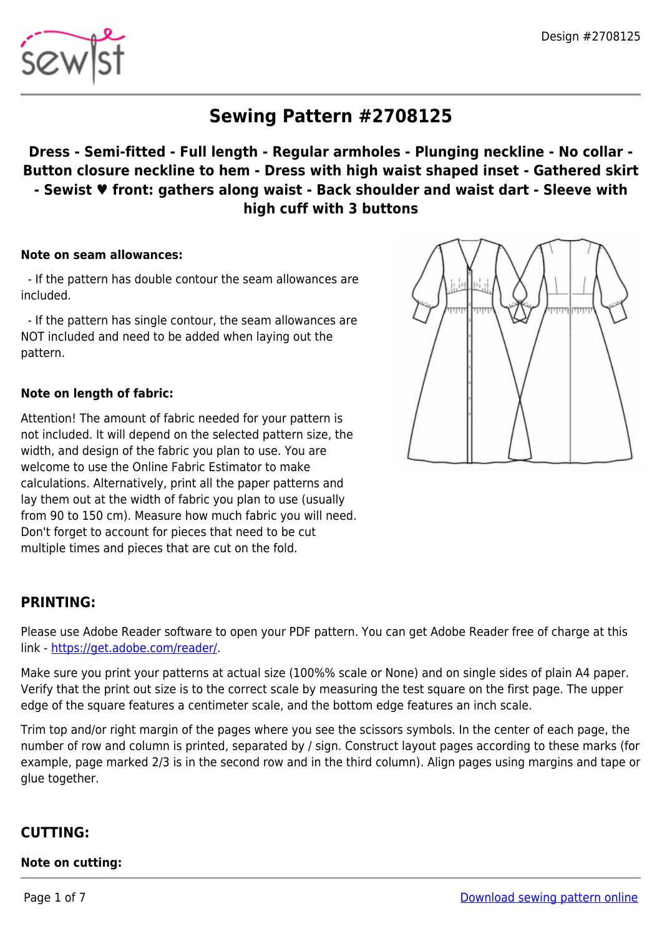

# **Sewing Pattern #2708125**

# **Dress - Semi-fitted - Full length - Regular armholes - Plunging neckline - No collar - Button closure neckline to hem - Dress with high waist shaped inset - Gathered skirt - Sewist ♥ front: gathers along waist - Back shoulder and waist dart - Sleeve with high cuff with 3 buttons**

#### **Note on seam allowances:**

 - If the pattern has double contour the seam allowances are included.

 - If the pattern has single contour, the seam allowances are NOT included and need to be added when laying out the pattern.

#### **Note on length of fabric:**

Attention! The amount of fabric needed for your pattern is not included. It will depend on the selected pattern size, the width, and design of the fabric you plan to use. You are welcome to use the Online Fabric Estimator to make calculations. Alternatively, print all the paper patterns and lay them out at the width of fabric you plan to use (usually from 90 to 150 cm). Measure how much fabric you will need. Don't forget to account for pieces that need to be cut multiple times and pieces that are cut on the fold.

# **PRINTING:**

Please use Adobe Reader software to open your PDF pattern. You can get Adobe Reader free of charge at this link -<https://get.adobe.com/reader/>.

Make sure you print your patterns at actual size (100%% scale or None) and on single sides of plain A4 paper. Verify that the print out size is to the correct scale by measuring the test square on the first page. The upper edge of the square features a centimeter scale, and the bottom edge features an inch scale.

Trim top and/or right margin of the pages where you see the scissors symbols. In the center of each page, the number of row and column is printed, separated by / sign. Construct layout pages according to these marks (for example, page marked 2/3 is in the second row and in the third column). Align pages using margins and tape or glue together.

## **CUTTING:**

#### **Note on cutting:**

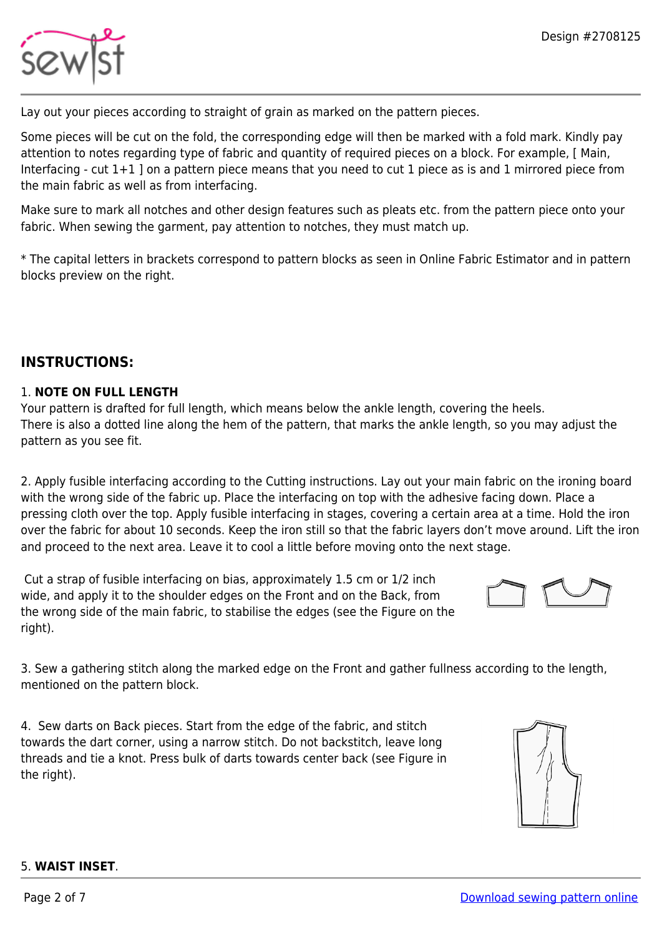

Lay out your pieces according to straight of grain as marked on the pattern pieces.

Some pieces will be cut on the fold, the corresponding edge will then be marked with a fold mark. Kindly pay attention to notes regarding type of fabric and quantity of required pieces on a block. For example, [ Main, Interfacing - cut 1+1 ] on a pattern piece means that you need to cut 1 piece as is and 1 mirrored piece from the main fabric as well as from interfacing.

Make sure to mark all notches and other design features such as pleats etc. from the pattern piece onto your fabric. When sewing the garment, pay attention to notches, they must match up.

\* The capital letters in brackets correspond to pattern blocks as seen in Online Fabric Estimator and in pattern blocks preview on the right.

## **INSTRUCTIONS:**

#### 1. **NOTE ON FULL LENGTH**

Your pattern is drafted for full length, which means below the ankle length, covering the heels. There is also a dotted line along the hem of the pattern, that marks the ankle length, so you may adjust the pattern as you see fit.

2. Apply fusible interfacing according to the Cutting instructions. Lay out your main fabric on the ironing board with the wrong side of the fabric up. Place the interfacing on top with the adhesive facing down. Place a pressing cloth over the top. Apply fusible interfacing in stages, covering a certain area at a time. Hold the iron over the fabric for about 10 seconds. Keep the iron still so that the fabric layers don't move around. Lift the iron and proceed to the next area. Leave it to cool a little before moving onto the next stage.

 Cut a strap of fusible interfacing on bias, approximately 1.5 cm or 1/2 inch wide, and apply it to the shoulder edges on the Front and on the Back, from the wrong side of the main fabric, to stabilise the edges (see the Figure on the right).



3. Sew a gathering stitch along the marked edge on the Front and gather fullness according to the length, mentioned on the pattern block.

4. Sew darts on Back pieces. Start from the edge of the fabric, and stitch towards the dart corner, using a narrow stitch. Do not backstitch, leave long threads and tie a knot. Press bulk of darts towards center back (see Figure in the right).



#### 5. **WAIST INSET**.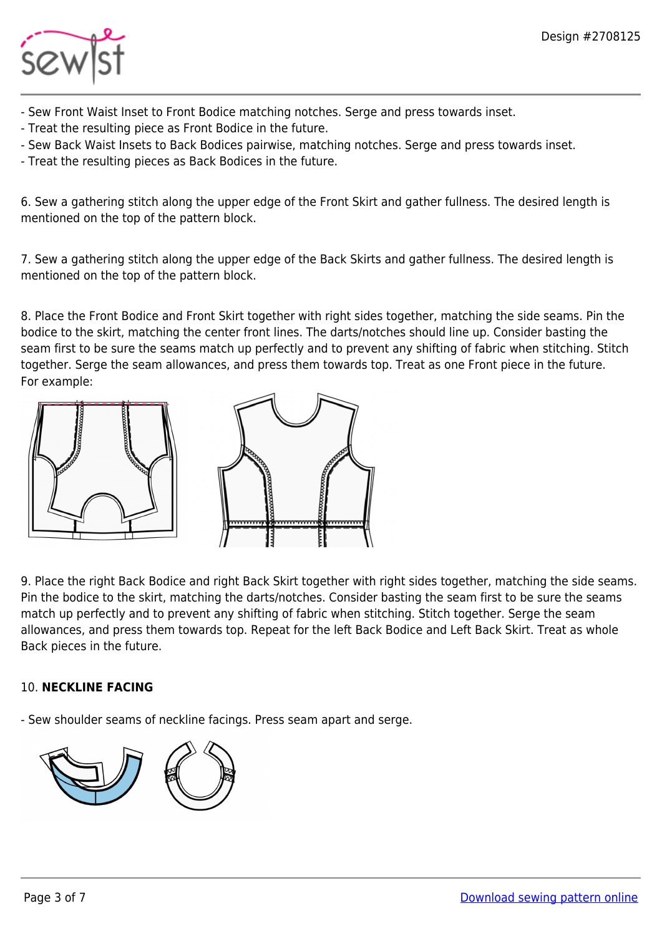

- Sew Front Waist Inset to Front Bodice matching notches. Serge and press towards inset.
- Treat the resulting piece as Front Bodice in the future.
- Sew Back Waist Insets to Back Bodices pairwise, matching notches. Serge and press towards inset.
- Treat the resulting pieces as Back Bodices in the future.

6. Sew a gathering stitch along the upper edge of the Front Skirt and gather fullness. The desired length is mentioned on the top of the pattern block.

7. Sew a gathering stitch along the upper edge of the Back Skirts and gather fullness. The desired length is mentioned on the top of the pattern block.

8. Place the Front Bodice and Front Skirt together with right sides together, matching the side seams. Pin the bodice to the skirt, matching the center front lines. The darts/notches should line up. Consider basting the seam first to be sure the seams match up perfectly and to prevent any shifting of fabric when stitching. Stitch together. Serge the seam allowances, and press them towards top. Treat as one Front piece in the future. For example:





9. Place the right Back Bodice and right Back Skirt together with right sides together, matching the side seams. Pin the bodice to the skirt, matching the darts/notches. Consider basting the seam first to be sure the seams match up perfectly and to prevent any shifting of fabric when stitching. Stitch together. Serge the seam allowances, and press them towards top. Repeat for the left Back Bodice and Left Back Skirt. Treat as whole Back pieces in the future.

## 10. **NECKLINE FACING**

- Sew shoulder seams of neckline facings. Press seam apart and serge.

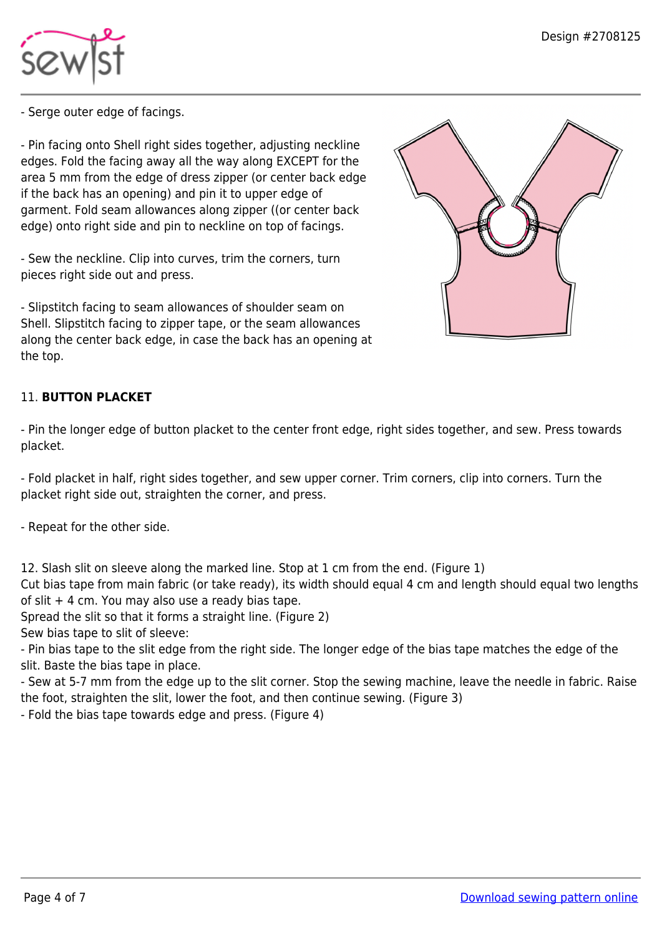

- Serge outer edge of facings.

- Pin facing onto Shell right sides together, adjusting neckline edges. Fold the facing away all the way along EXCEPT for the area 5 mm from the edge of dress zipper (or center back edge if the back has an opening) and pin it to upper edge of garment. Fold seam allowances along zipper ((or center back edge) onto right side and pin to neckline on top of facings.

- Sew the neckline. Clip into curves, trim the corners, turn pieces right side out and press.

- Slipstitch facing to seam allowances of shoulder seam on Shell. Slipstitch facing to zipper tape, or the seam allowances along the center back edge, in case the back has an opening at the top.

# 11. **BUTTON PLACKET**

- Pin the longer edge of button placket to the center front edge, right sides together, and sew. Press towards placket.

- Fold placket in half, right sides together, and sew upper corner. Trim corners, clip into corners. Turn the placket right side out, straighten the corner, and press.

- Repeat for the other side.

12. Slash slit on sleeve along the marked line. Stop at 1 cm from the end. (Figure 1)

Cut bias tape from main fabric (or take ready), its width should equal 4 cm and length should equal two lengths of slit  $+$  4 cm. You may also use a ready bias tape.

Spread the slit so that it forms a straight line. (Figure 2)

Sew bias tape to slit of sleeve:

- Pin bias tape to the slit edge from the right side. The longer edge of the bias tape matches the edge of the slit. Baste the bias tape in place.

- Sew at 5-7 mm from the edge up to the slit corner. Stop the sewing machine, leave the needle in fabric. Raise the foot, straighten the slit, lower the foot, and then continue sewing. (Figure 3)

- Fold the bias tape towards edge and press. (Figure 4)

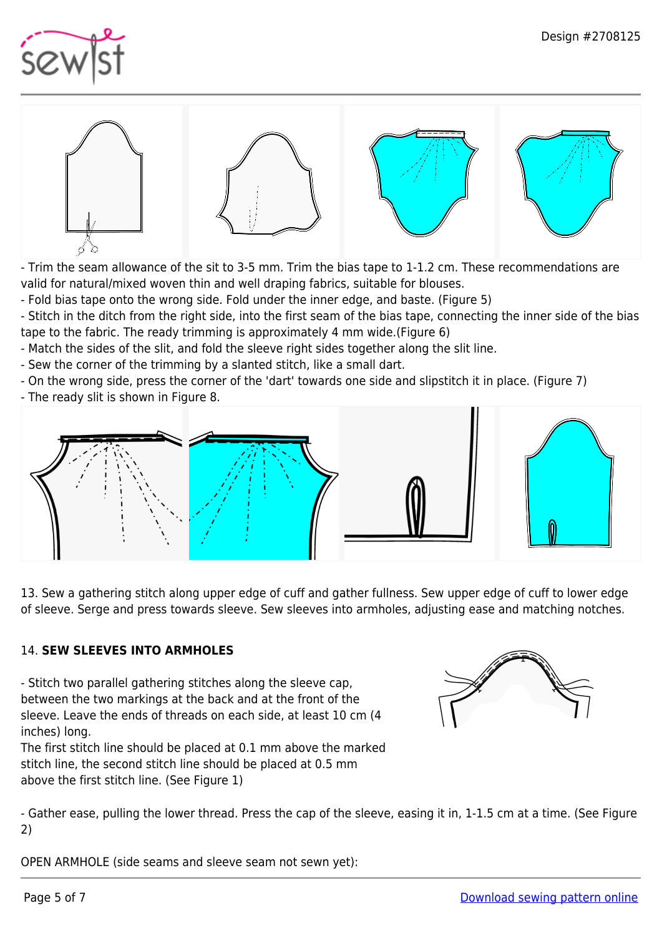



- Trim the seam allowance of the sit to 3-5 mm. Trim the bias tape to 1-1.2 cm. These recommendations are valid for natural/mixed woven thin and well draping fabrics, suitable for blouses.

- Fold bias tape onto the wrong side. Fold under the inner edge, and baste. (Figure 5)

- Stitch in the ditch from the right side, into the first seam of the bias tape, connecting the inner side of the bias tape to the fabric. The ready trimming is approximately 4 mm wide.(Figure 6)

- Match the sides of the slit, and fold the sleeve right sides together along the slit line.

- Sew the corner of the trimming by a slanted stitch, like a small dart.

- On the wrong side, press the corner of the 'dart' towards one side and slipstitch it in place. (Figure 7)

- The ready slit is shown in Figure 8.



13. Sew a gathering stitch along upper edge of cuff and gather fullness. Sew upper edge of cuff to lower edge of sleeve. Serge and press towards sleeve. Sew sleeves into armholes, adjusting ease and matching notches.

#### 14. **SEW SLEEVES INTO ARMHOLES**

- Stitch two parallel gathering stitches along the sleeve cap, between the two markings at the back and at the front of the sleeve. Leave the ends of threads on each side, at least 10 cm (4 inches) long.

The first stitch line should be placed at 0.1 mm above the marked stitch line, the second stitch line should be placed at 0.5 mm above the first stitch line. (See Figure 1)



- Gather ease, pulling the lower thread. Press the cap of the sleeve, easing it in, 1-1.5 cm at a time. (See Figure 2)

OPEN ARMHOLE (side seams and sleeve seam not sewn yet):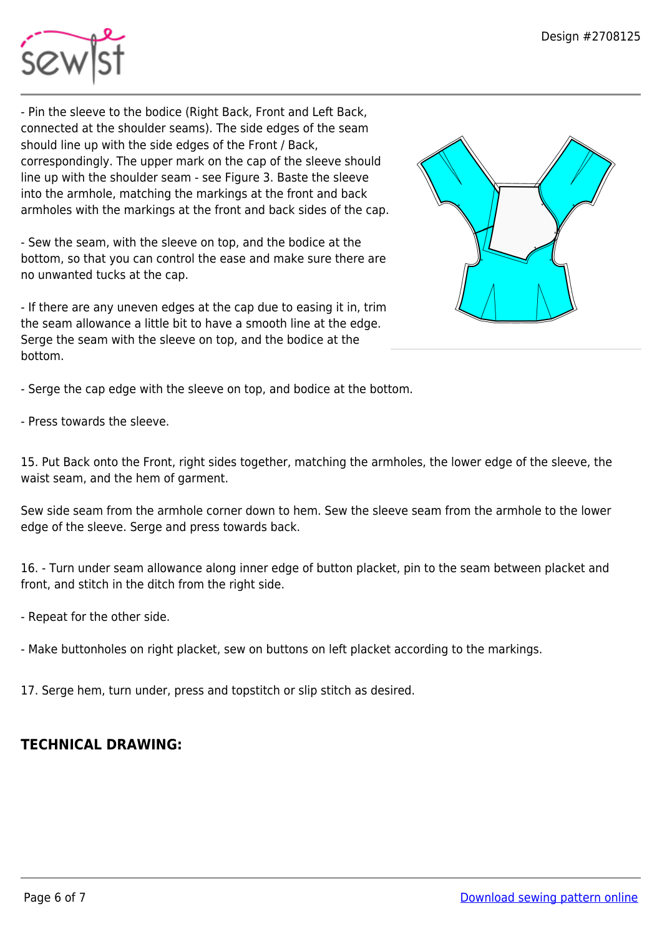

- Pin the sleeve to the bodice (Right Back, Front and Left Back, connected at the shoulder seams). The side edges of the seam should line up with the side edges of the Front / Back, correspondingly. The upper mark on the cap of the sleeve should line up with the shoulder seam - see Figure 3. Baste the sleeve into the armhole, matching the markings at the front and back armholes with the markings at the front and back sides of the cap.

- Sew the seam, with the sleeve on top, and the bodice at the bottom, so that you can control the ease and make sure there are no unwanted tucks at the cap.

- If there are any uneven edges at the cap due to easing it in, trim the seam allowance a little bit to have a smooth line at the edge. Serge the seam with the sleeve on top, and the bodice at the bottom.



- Serge the cap edge with the sleeve on top, and bodice at the bottom.

- Press towards the sleeve.

15. Put Back onto the Front, right sides together, matching the armholes, the lower edge of the sleeve, the waist seam, and the hem of garment.

Sew side seam from the armhole corner down to hem. Sew the sleeve seam from the armhole to the lower edge of the sleeve. Serge and press towards back.

16. - Turn under seam allowance along inner edge of button placket, pin to the seam between placket and front, and stitch in the ditch from the right side.

- Repeat for the other side.

- Make buttonholes on right placket, sew on buttons on left placket according to the markings.

17. Serge hem, turn under, press and topstitch or slip stitch as desired.

# **TECHNICAL DRAWING:**